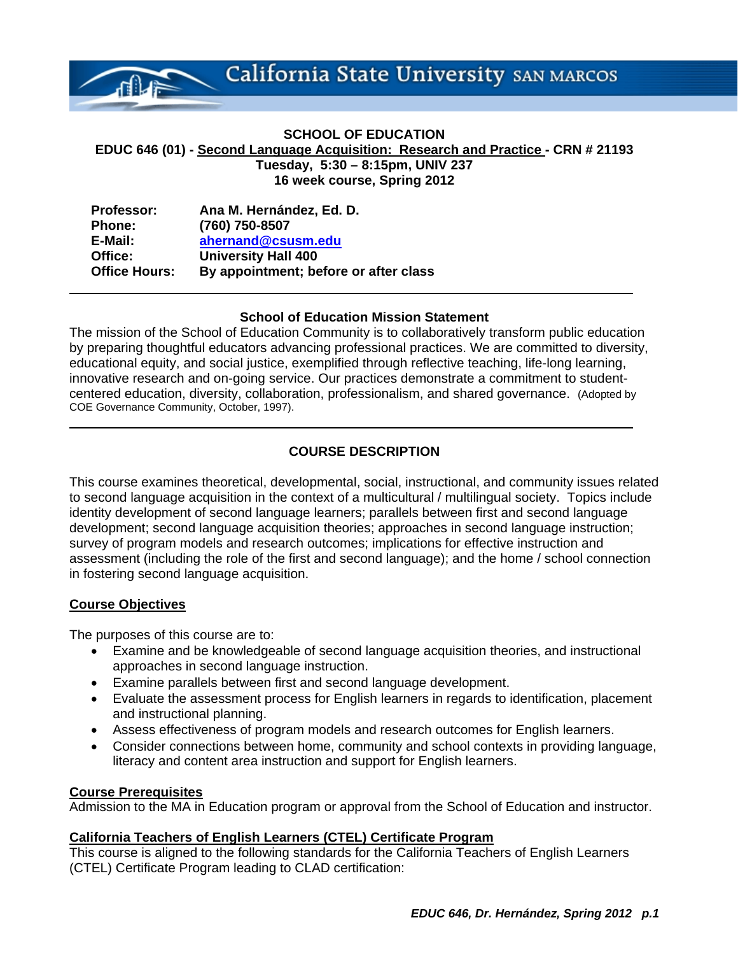California State University SAN MARCOS

# **SCHOOL OF EDUCATION EDUC 646 (01) - Second Language Acquisition: Research and Practice - CRN # 21193 Tuesday, 5:30 – 8:15pm, UNIV 237 16 week course, Spring 2012**

| <b>Professor:</b>    | Ana M. Hernández, Ed. D.              |
|----------------------|---------------------------------------|
| <b>Phone:</b>        | (760) 750-8507                        |
| E-Mail:              | ahernand@csusm.edu                    |
| Office:              | <b>University Hall 400</b>            |
| <b>Office Hours:</b> | By appointment; before or after class |

#### **School of Education Mission Statement**

The mission of the School of Education Community is to collaboratively transform public education by preparing thoughtful educators advancing professional practices. We are committed to diversity, educational equity, and social justice, exemplified through reflective teaching, life-long learning, innovative research and on-going service. Our practices demonstrate a commitment to studentcentered education, diversity, collaboration, professionalism, and shared governance. (Adopted by COE Governance Community, October, 1997).

# **COURSE DESCRIPTION**

This course examines theoretical, developmental, social, instructional, and community issues related to second language acquisition in the context of a multicultural / multilingual society. Topics include identity development of second language learners; parallels between first and second language development; second language acquisition theories; approaches in second language instruction; survey of program models and research outcomes; implications for effective instruction and assessment (including the role of the first and second language); and the home / school connection in fostering second language acquisition.

# **Course Objectives**

The purposes of this course are to:

- Examine and be knowledgeable of second language acquisition theories, and instructional approaches in second language instruction.
- Examine parallels between first and second language development.
- Evaluate the assessment process for English learners in regards to identification, placement and instructional planning.
- Assess effectiveness of program models and research outcomes for English learners.
- Consider connections between home, community and school contexts in providing language, literacy and content area instruction and support for English learners.

#### **Course Prerequisites**

Admission to the MA in Education program or approval from the School of Education and instructor.

#### **California Teachers of English Learners (CTEL) Certificate Program**

This course is aligned to the following standards for the California Teachers of English Learners (CTEL) Certificate Program leading to CLAD certification: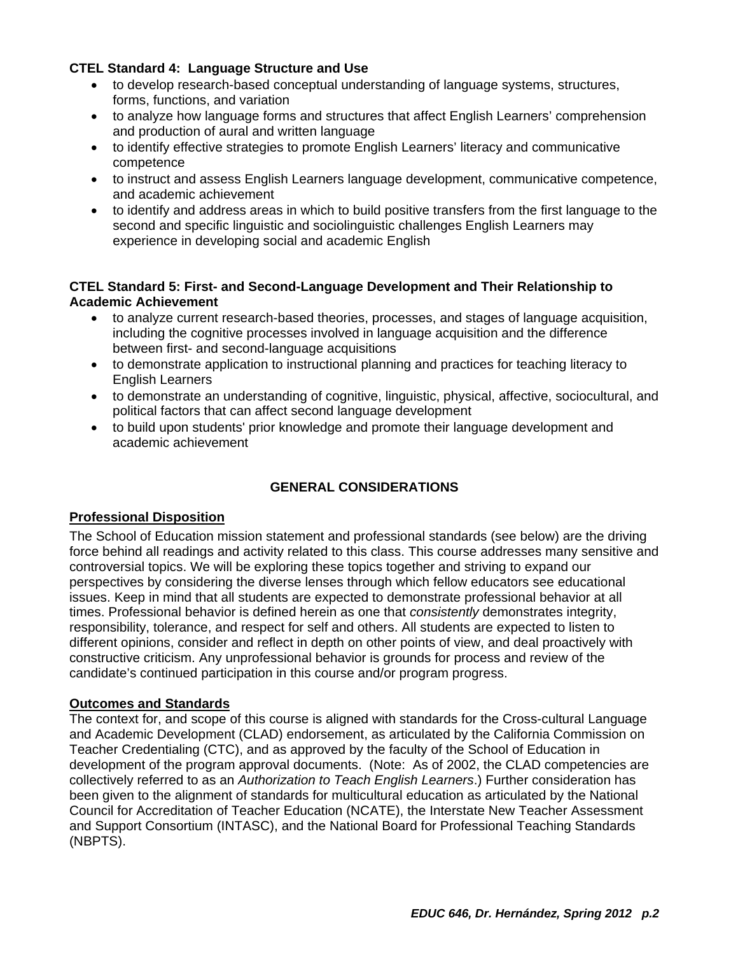# **CTEL Standard 4: Language Structure and Use**

- to develop research-based conceptual understanding of language systems, structures, forms, functions, and variation
- to analyze how language forms and structures that affect English Learners' comprehension and production of aural and written language
- to identify effective strategies to promote English Learners' literacy and communicative competence
- to instruct and assess English Learners language development, communicative competence, and academic achievement
- to identify and address areas in which to build positive transfers from the first language to the second and specific linguistic and sociolinguistic challenges English Learners may experience in developing social and academic English

# **CTEL Standard 5: First- and Second-Language Development and Their Relationship to Academic Achievement**

- to analyze current research-based theories, processes, and stages of language acquisition, including the cognitive processes involved in language acquisition and the difference between first- and second-language acquisitions
- to demonstrate application to instructional planning and practices for teaching literacy to English Learners
- to demonstrate an understanding of cognitive, linguistic, physical, affective, sociocultural, and political factors that can affect second language development
- to build upon students' prior knowledge and promote their language development and academic achievement

# **GENERAL CONSIDERATIONS**

# **Professional Disposition**

The School of Education mission statement and professional standards (see below) are the driving force behind all readings and activity related to this class. This course addresses many sensitive and controversial topics. We will be exploring these topics together and striving to expand our perspectives by considering the diverse lenses through which fellow educators see educational issues. Keep in mind that all students are expected to demonstrate professional behavior at all times. Professional behavior is defined herein as one that *consistently* demonstrates integrity, responsibility, tolerance, and respect for self and others. All students are expected to listen to different opinions, consider and reflect in depth on other points of view, and deal proactively with constructive criticism. Any unprofessional behavior is grounds for process and review of the candidate's continued participation in this course and/or program progress.

# **Outcomes and Standards**

The context for, and scope of this course is aligned with standards for the Cross-cultural Language and Academic Development (CLAD) endorsement, as articulated by the California Commission on Teacher Credentialing (CTC), and as approved by the faculty of the School of Education in development of the program approval documents. (Note: As of 2002, the CLAD competencies are collectively referred to as an *Authorization to Teach English Learners*.) Further consideration has been given to the alignment of standards for multicultural education as articulated by the National Council for Accreditation of Teacher Education (NCATE), the Interstate New Teacher Assessment and Support Consortium (INTASC), and the National Board for Professional Teaching Standards (NBPTS).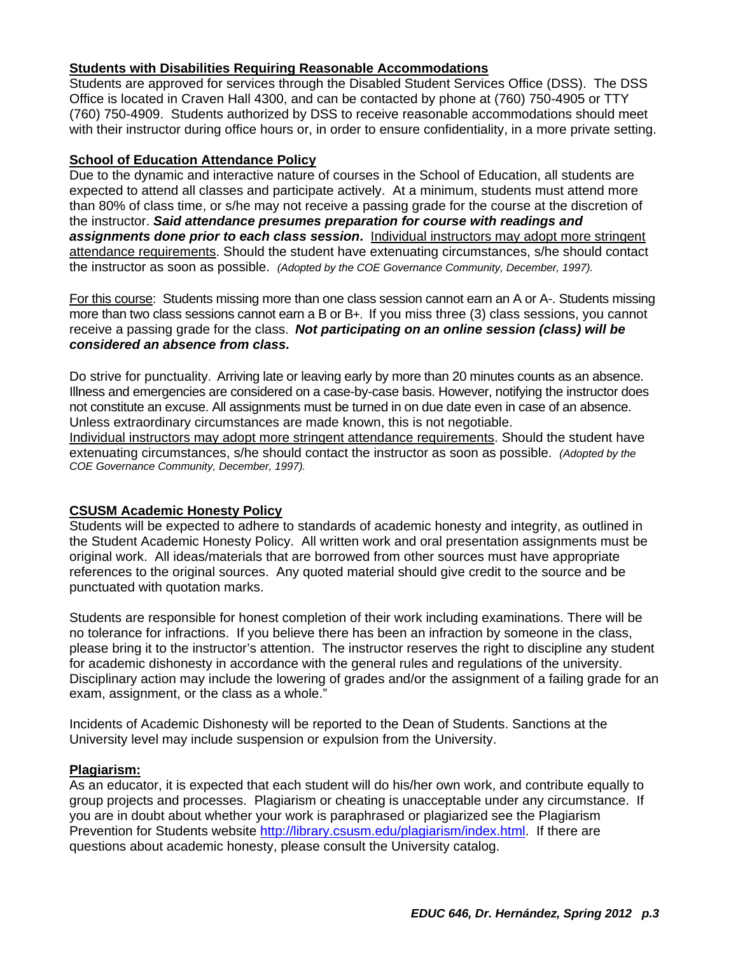# **Students with Disabilities Requiring Reasonable Accommodations**

Students are approved for services through the Disabled Student Services Office (DSS). The DSS Office is located in Craven Hall 4300, and can be contacted by phone at (760) 750-4905 or TTY (760) 750-4909. Students authorized by DSS to receive reasonable accommodations should meet with their instructor during office hours or, in order to ensure confidentiality, in a more private setting.

#### **School of Education Attendance Policy**

 the instructor as soon as possible. *(Adopted by the COE Governance Community, December, 1997).*  Due to the dynamic and interactive nature of courses in the School of Education, all students are expected to attend all classes and participate actively. At a minimum, students must attend more than 80% of class time, or s/he may not receive a passing grade for the course at the discretion of the instructor. *Said attendance presumes preparation for course with readings and assignments done prior to each class session***.** Individual instructors may adopt more stringent attendance requirements. Should the student have extenuating circumstances, s/he should contact

For this course: Students missing more than one class session cannot earn an A or A-. Students missing more than two class sessions cannot earn a B or B+. If you miss three (3) class sessions, you cannot receive a passing grade for the class. *Not participating on an online session (class) will be considered an absence from class.* 

Do strive for punctuality. Arriving late or leaving early by more than 20 minutes counts as an absence. Illness and emergencies are considered on a case-by-case basis. However, notifying the instructor does not constitute an excuse. All assignments must be turned in on due date even in case of an absence. Unless extraordinary circumstances are made known, this is not negotiable.

 extenuating circumstances, s/he should contact the instructor as soon as possible. *(Adopted by the*  Individual instructors may adopt more stringent attendance requirements. Should the student have *COE Governance Community, December, 1997).* 

# **CSUSM Academic Honesty Policy**

Students will be expected to adhere to standards of academic honesty and integrity, as outlined in the Student Academic Honesty Policy. All written work and oral presentation assignments must be original work. All ideas/materials that are borrowed from other sources must have appropriate references to the original sources. Any quoted material should give credit to the source and be punctuated with quotation marks.

Students are responsible for honest completion of their work including examinations. There will be no tolerance for infractions. If you believe there has been an infraction by someone in the class, please bring it to the instructor's attention. The instructor reserves the right to discipline any student for academic dishonesty in accordance with the general rules and regulations of the university. Disciplinary action may include the lowering of grades and/or the assignment of a failing grade for an exam, assignment, or the class as a whole."

Incidents of Academic Dishonesty will be reported to the Dean of Students. Sanctions at the University level may include suspension or expulsion from the University.

#### **Plagiarism:**

As an educator, it is expected that each student will do his/her own work, and contribute equally to group projects and processes. Plagiarism or cheating is unacceptable under any circumstance. If you are in doubt about whether your work is paraphrased or plagiarized see the Plagiarism Prevention for Students website http://library.csusm.edu/plagiarism/index.html. If there are questions about academic honesty, please consult the University catalog.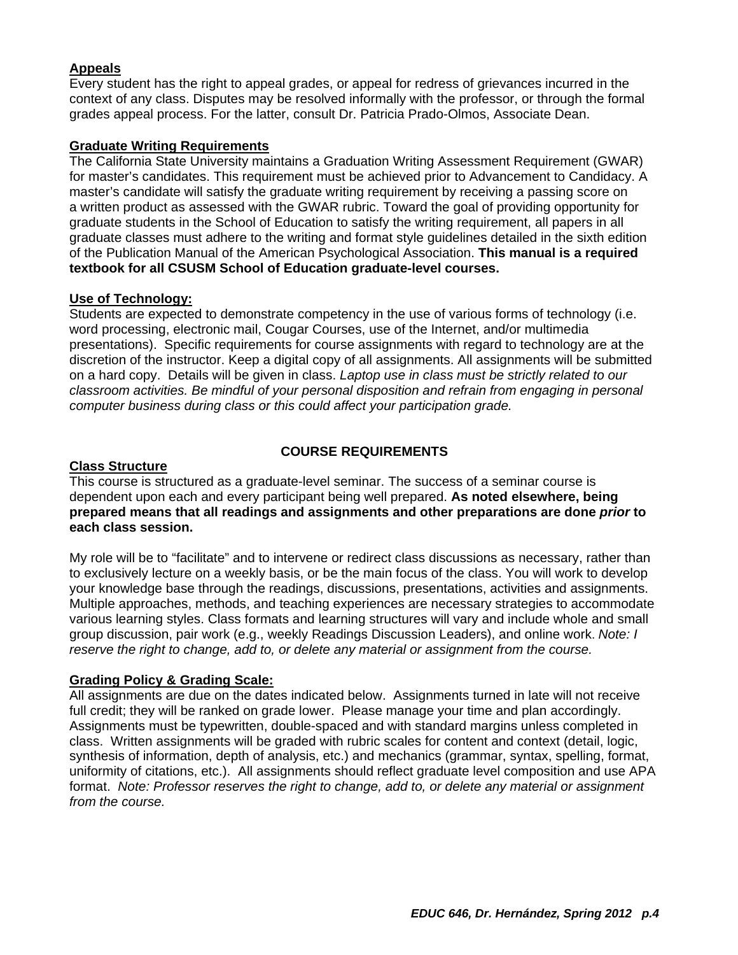# **Appeals**

Every student has the right to appeal grades, or appeal for redress of grievances incurred in the context of any class. Disputes may be resolved informally with the professor, or through the formal grades appeal process. For the latter, consult Dr. Patricia Prado-Olmos, Associate Dean.

#### **Graduate Writing Requirements**

The California State University maintains a Graduation Writing Assessment Requirement (GWAR) for master's candidates. This requirement must be achieved prior to Advancement to Candidacy. A master's candidate will satisfy the graduate writing requirement by receiving a passing score on a written product as assessed with the GWAR rubric. Toward the goal of providing opportunity for graduate students in the School of Education to satisfy the writing requirement, all papers in all graduate classes must adhere to the writing and format style guidelines detailed in the sixth edition of the Publication Manual of the American Psychological Association. **This manual is a required textbook for all CSUSM School of Education graduate-level courses.** 

#### **Use of Technology:**

Students are expected to demonstrate competency in the use of various forms of technology (i.e. word processing, electronic mail, Cougar Courses, use of the Internet, and/or multimedia presentations). Specific requirements for course assignments with regard to technology are at the discretion of the instructor. Keep a digital copy of all assignments. All assignments will be submitted on a hard copy. Details will be given in class. *Laptop use in class must be strictly related to our classroom activities. Be mindful of your personal disposition and refrain from engaging in personal computer business during class or this could affect your participation grade.* 

# **COURSE REQUIREMENTS**

# **Class Structure**

This course is structured as a graduate-level seminar. The success of a seminar course is dependent upon each and every participant being well prepared. **As noted elsewhere, being prepared means that all readings and assignments and other preparations are done** *prior* **to each class session.** 

My role will be to "facilitate" and to intervene or redirect class discussions as necessary, rather than to exclusively lecture on a weekly basis, or be the main focus of the class. You will work to develop your knowledge base through the readings, discussions, presentations, activities and assignments. Multiple approaches, methods, and teaching experiences are necessary strategies to accommodate various learning styles. Class formats and learning structures will vary and include whole and small group discussion, pair work (e.g., weekly Readings Discussion Leaders), and online work. *Note: I reserve the right to change, add to, or delete any material or assignment from the course.* 

# **Grading Policy & Grading Scale:**

All assignments are due on the dates indicated below. Assignments turned in late will not receive full credit; they will be ranked on grade lower. Please manage your time and plan accordingly. Assignments must be typewritten, double-spaced and with standard margins unless completed in class. Written assignments will be graded with rubric scales for content and context (detail, logic, synthesis of information, depth of analysis, etc.) and mechanics (grammar, syntax, spelling, format, uniformity of citations, etc.). All assignments should reflect graduate level composition and use APA format. *Note: Professor reserves the right to change, add to, or delete any material or assignment from the course.*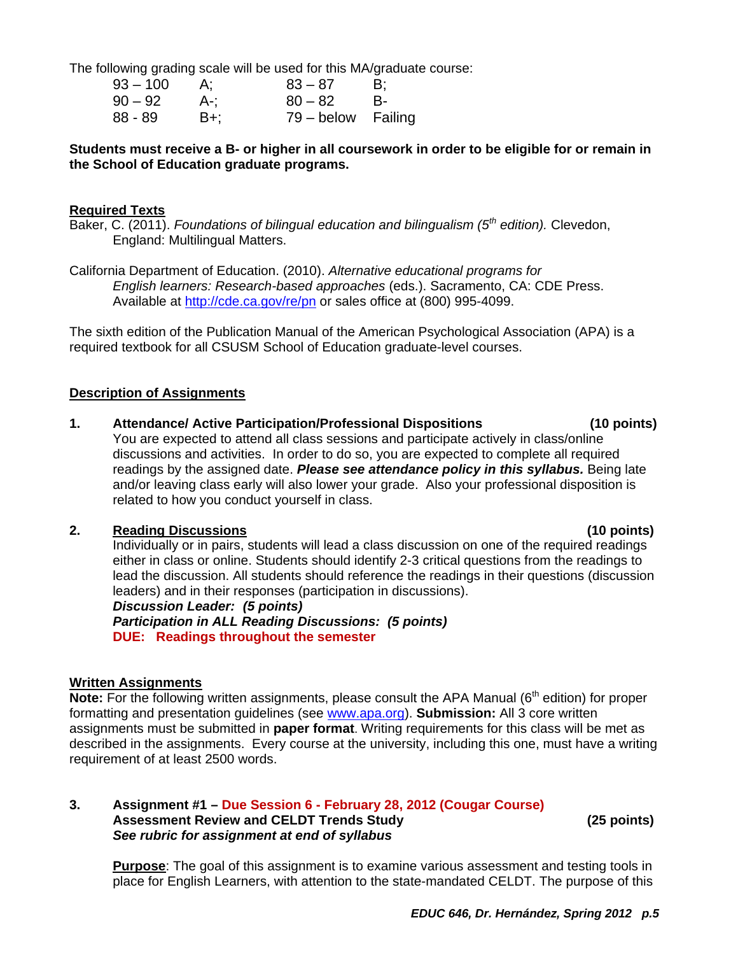The following grading scale will be used for this MA/graduate course:

| $93 - 100$ |       | $83 - 87$          | - B: |
|------------|-------|--------------------|------|
| $90 - 92$  | . A-; | $80 - 82$          | - B- |
| $88 - 89$  | B+;   | 79 – below Failing |      |

# **Students must receive a B- or higher in all coursework in order to be eligible for or remain in the School of Education graduate programs.**

#### **Required Texts**

Baker, C. (2011). *Foundations of bilingual education and bilingualism (5th edition).* Clevedon, England: Multilingual Matters.

California Department of Education. (2010). *Alternative educational programs for English learners: Research-based approaches* (eds.). Sacramento, CA: CDE Press. Available at http://cde.ca.gov/re/pn or sales office at (800) 995-4099.

The sixth edition of the Publication Manual of the American Psychological Association (APA) is a required textbook for all CSUSM School of Education graduate-level courses.

#### **Description of Assignments**

**1. Attendance/ Active Participation/Professional Dispositions (10 points)** 

You are expected to attend all class sessions and participate actively in class/online discussions and activities. In order to do so, you are expected to complete all required readings by the assigned date. *Please see attendance policy in this syllabus.* Being late and/or leaving class early will also lower your grade. Also your professional disposition is related to how you conduct yourself in class.

#### **2. Reading Discussions (10 points)**

Individually or in pairs, students will lead a class discussion on one of the required readings either in class or online. Students should identify 2-3 critical questions from the readings to lead the discussion. All students should reference the readings in their questions (discussion leaders) and in their responses (participation in discussions).

*Discussion Leader: (5 points) Participation in ALL Reading Discussions: (5 points)*  **DUE: Readings throughout the semester** 

# **Written Assignments**

**Note:** For the following written assignments, please consult the APA Manual (6<sup>th</sup> edition) for proper formatting and presentation guidelines (see www.apa.org). **Submission:** All 3 core written assignments must be submitted in **paper format**. Writing requirements for this class will be met as described in the assignments. Every course at the university, including this one, must have a writing requirement of at least 2500 words.

#### Assessment Review and CELDT Trends Study **CELD 1998** (25 points) **3. Assignment #1 – Due Session 6 - February 28, 2012 (Cougar Course)**  *See rubric for assignment at end of syllabus*

**Purpose**: The goal of this assignment is to examine various assessment and testing tools in place for English Learners, with attention to the state-mandated CELDT. The purpose of this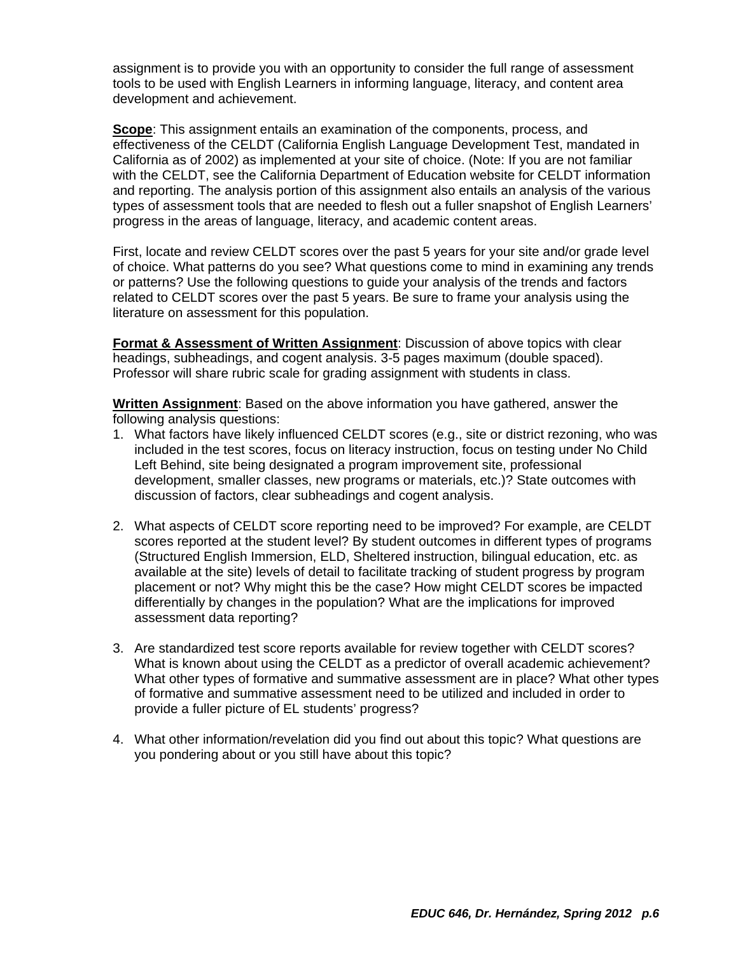assignment is to provide you with an opportunity to consider the full range of assessment tools to be used with English Learners in informing language, literacy, and content area development and achievement.

**Scope**: This assignment entails an examination of the components, process, and effectiveness of the CELDT (California English Language Development Test, mandated in California as of 2002) as implemented at your site of choice. (Note: If you are not familiar with the CELDT, see the California Department of Education website for CELDT information and reporting. The analysis portion of this assignment also entails an analysis of the various types of assessment tools that are needed to flesh out a fuller snapshot of English Learners' progress in the areas of language, literacy, and academic content areas.

First, locate and review CELDT scores over the past 5 years for your site and/or grade level of choice. What patterns do you see? What questions come to mind in examining any trends or patterns? Use the following questions to guide your analysis of the trends and factors related to CELDT scores over the past 5 years. Be sure to frame your analysis using the literature on assessment for this population.

**Format & Assessment of Written Assignment**: Discussion of above topics with clear headings, subheadings, and cogent analysis. 3-5 pages maximum (double spaced). Professor will share rubric scale for grading assignment with students in class.

**Written Assignment**: Based on the above information you have gathered, answer the following analysis questions:

- 1. What factors have likely influenced CELDT scores (e.g., site or district rezoning, who was included in the test scores, focus on literacy instruction, focus on testing under No Child Left Behind, site being designated a program improvement site, professional development, smaller classes, new programs or materials, etc.)? State outcomes with discussion of factors, clear subheadings and cogent analysis.
- 2. What aspects of CELDT score reporting need to be improved? For example, are CELDT scores reported at the student level? By student outcomes in different types of programs (Structured English Immersion, ELD, Sheltered instruction, bilingual education, etc. as available at the site) levels of detail to facilitate tracking of student progress by program placement or not? Why might this be the case? How might CELDT scores be impacted differentially by changes in the population? What are the implications for improved assessment data reporting?
- 3. Are standardized test score reports available for review together with CELDT scores? What is known about using the CELDT as a predictor of overall academic achievement? What other types of formative and summative assessment are in place? What other types of formative and summative assessment need to be utilized and included in order to provide a fuller picture of EL students' progress?
- 4. What other information/revelation did you find out about this topic? What questions are you pondering about or you still have about this topic?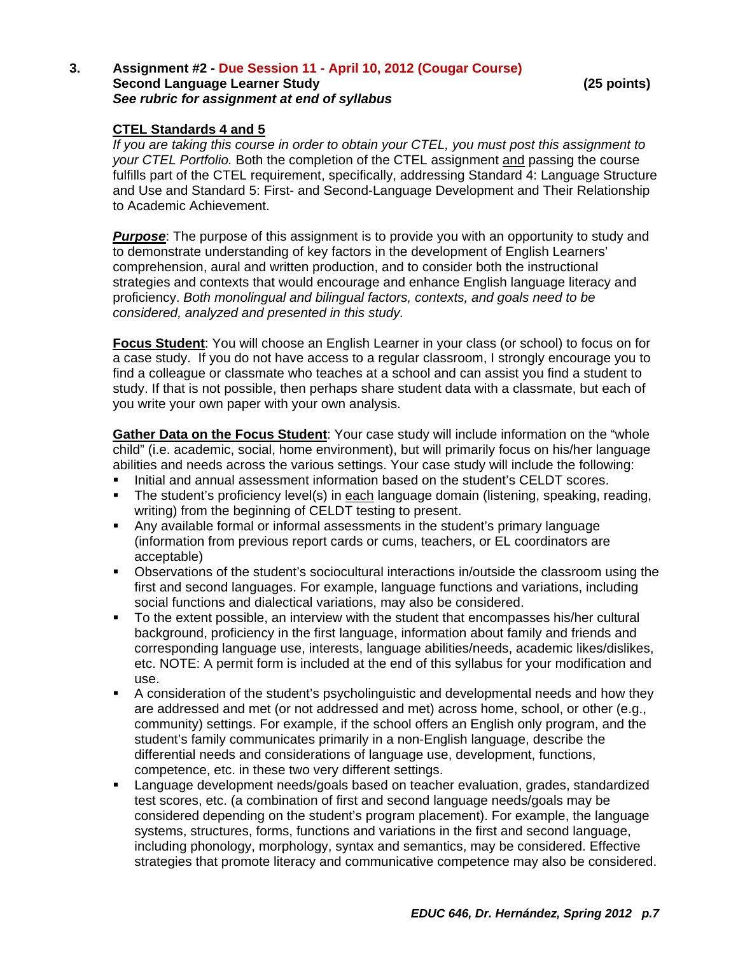#### **Second Language Learner Study 19 and 20 and 20 and 25 points)** (25 points) **3. Assignment #2 - Due Session 11 - April 10, 2012 (Cougar Course)**  *See rubric for assignment at end of syllabus*

# **CTEL Standards 4 and 5**

*If you are taking this course in order to obtain your CTEL, you must post this assignment to your CTEL Portfolio.* Both the completion of the CTEL assignment and passing the course fulfills part of the CTEL requirement, specifically, addressing Standard 4: Language Structure and Use and Standard 5: First- and Second-Language Development and Their Relationship to Academic Achievement.

 *considered, analyzed and presented in this study.* **Purpose**: The purpose of this assignment is to provide you with an opportunity to study and to demonstrate understanding of key factors in the development of English Learners' comprehension, aural and written production, and to consider both the instructional strategies and contexts that would encourage and enhance English language literacy and proficiency. *Both monolingual and bilingual factors, contexts, and goals need to be* 

**Focus Student**: You will choose an English Learner in your class (or school) to focus on for a case study. If you do not have access to a regular classroom, I strongly encourage you to find a colleague or classmate who teaches at a school and can assist you find a student to study. If that is not possible, then perhaps share student data with a classmate, but each of you write your own paper with your own analysis.

**Gather Data on the Focus Student**: Your case study will include information on the "whole child" (i.e. academic, social, home environment), but will primarily focus on his/her language abilities and needs across the various settings. Your case study will include the following:

- Initial and annual assessment information based on the student's CELDT scores.
- The student's proficiency level(s) in each language domain (listening, speaking, reading, writing) from the beginning of CELDT testing to present.
- Any available formal or informal assessments in the student's primary language (information from previous report cards or cums, teachers, or EL coordinators are acceptable)
- Observations of the student's sociocultural interactions in/outside the classroom using the first and second languages. For example, language functions and variations, including social functions and dialectical variations, may also be considered.
- To the extent possible, an interview with the student that encompasses his/her cultural background, proficiency in the first language, information about family and friends and corresponding language use, interests, language abilities/needs, academic likes/dislikes, etc. NOTE: A permit form is included at the end of this syllabus for your modification and use.
- A consideration of the student's psycholinguistic and developmental needs and how they are addressed and met (or not addressed and met) across home, school, or other (e.g., community) settings. For example, if the school offers an English only program, and the student's family communicates primarily in a non-English language, describe the differential needs and considerations of language use, development, functions, competence, etc. in these two very different settings.
- Language development needs/goals based on teacher evaluation, grades, standardized test scores, etc. (a combination of first and second language needs/goals may be considered depending on the student's program placement). For example, the language systems, structures, forms, functions and variations in the first and second language, including phonology, morphology, syntax and semantics, may be considered. Effective strategies that promote literacy and communicative competence may also be considered.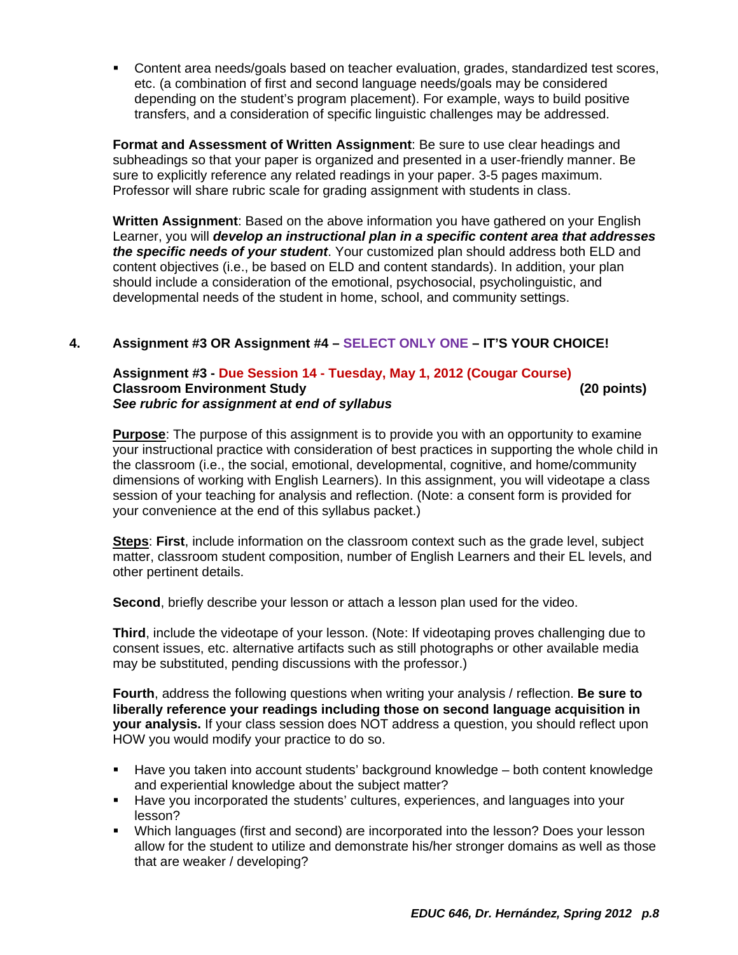Content area needs/goals based on teacher evaluation, grades, standardized test scores, etc. (a combination of first and second language needs/goals may be considered depending on the student's program placement). For example, ways to build positive transfers, and a consideration of specific linguistic challenges may be addressed.

**Format and Assessment of Written Assignment**: Be sure to use clear headings and subheadings so that your paper is organized and presented in a user-friendly manner. Be sure to explicitly reference any related readings in your paper. 3-5 pages maximum. Professor will share rubric scale for grading assignment with students in class.

**Written Assignment**: Based on the above information you have gathered on your English Learner, you will *develop an instructional plan in a specific content area that addresses the specific needs of your student*. Your customized plan should address both ELD and content objectives (i.e., be based on ELD and content standards). In addition, your plan should include a consideration of the emotional, psychosocial, psycholinguistic, and developmental needs of the student in home, school, and community settings.

# **4. Assignment #3 OR Assignment #4 – SELECT ONLY ONE – IT'S YOUR CHOICE!**

#### **Classroom Environment Study (20 points) Assignment #3 - Due Session 14 - Tuesday, May 1, 2012 (Cougar Course)** *See rubric for assignment at end of syllabus*

**Purpose**: The purpose of this assignment is to provide you with an opportunity to examine your instructional practice with consideration of best practices in supporting the whole child in the classroom (i.e., the social, emotional, developmental, cognitive, and home/community dimensions of working with English Learners). In this assignment, you will videotape a class session of your teaching for analysis and reflection. (Note: a consent form is provided for your convenience at the end of this syllabus packet.)

**Steps**: **First**, include information on the classroom context such as the grade level, subject matter, classroom student composition, number of English Learners and their EL levels, and other pertinent details.

**Second**, briefly describe your lesson or attach a lesson plan used for the video.

**Third**, include the videotape of your lesson. (Note: If videotaping proves challenging due to consent issues, etc. alternative artifacts such as still photographs or other available media may be substituted, pending discussions with the professor.)

**Fourth**, address the following questions when writing your analysis / reflection. **Be sure to liberally reference your readings including those on second language acquisition in your analysis.** If your class session does NOT address a question, you should reflect upon HOW you would modify your practice to do so.

- Have you taken into account students' background knowledge both content knowledge and experiential knowledge about the subject matter?
- Have you incorporated the students' cultures, experiences, and languages into your lesson?
- Which languages (first and second) are incorporated into the lesson? Does your lesson allow for the student to utilize and demonstrate his/her stronger domains as well as those that are weaker / developing?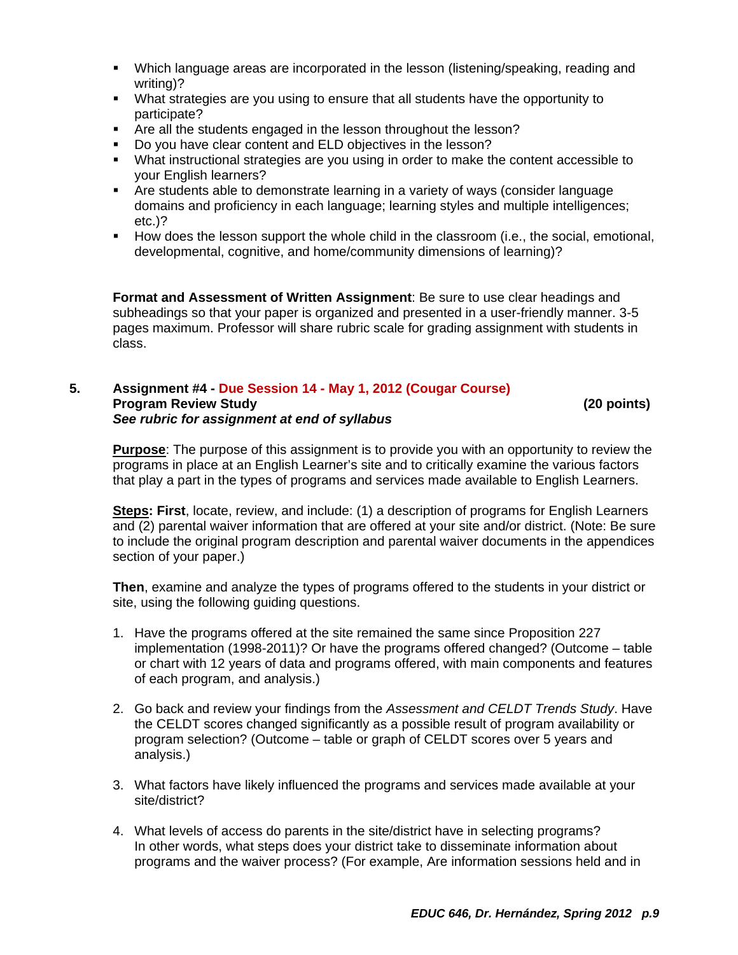- Which language areas are incorporated in the lesson (listening/speaking, reading and writing)?
- What strategies are you using to ensure that all students have the opportunity to participate?
- **F** Are all the students engaged in the lesson throughout the lesson?
- Do you have clear content and ELD objectives in the lesson?
- What instructional strategies are you using in order to make the content accessible to your English learners?
- Are students able to demonstrate learning in a variety of ways (consider language domains and proficiency in each language; learning styles and multiple intelligences; etc.)?
- How does the lesson support the whole child in the classroom (i.e., the social, emotional, developmental, cognitive, and home/community dimensions of learning)?

**Format and Assessment of Written Assignment**: Be sure to use clear headings and subheadings so that your paper is organized and presented in a user-friendly manner. 3-5 pages maximum. Professor will share rubric scale for grading assignment with students in class.

#### 5. **5. Assignment #4 - Due Session 14 - May 1, 2012 (Cougar Course) Program Review Study (20 points)**  *See rubric for assignment at end of syllabus*

**Purpose**: The purpose of this assignment is to provide you with an opportunity to review the programs in place at an English Learner's site and to critically examine the various factors that play a part in the types of programs and services made available to English Learners.

**Steps: First**, locate, review, and include: (1) a description of programs for English Learners and (2) parental waiver information that are offered at your site and/or district. (Note: Be sure to include the original program description and parental waiver documents in the appendices section of your paper.)

**Then**, examine and analyze the types of programs offered to the students in your district or site, using the following guiding questions.

- 1. Have the programs offered at the site remained the same since Proposition 227 implementation (1998-2011)? Or have the programs offered changed? (Outcome – table or chart with 12 years of data and programs offered, with main components and features of each program, and analysis.)
- 2. Go back and review your findings from the *Assessment and CELDT Trends Study*. Have the CELDT scores changed significantly as a possible result of program availability or program selection? (Outcome – table or graph of CELDT scores over 5 years and analysis.)
- 3. What factors have likely influenced the programs and services made available at your site/district?
- 4. What levels of access do parents in the site/district have in selecting programs? In other words, what steps does your district take to disseminate information about programs and the waiver process? (For example, Are information sessions held and in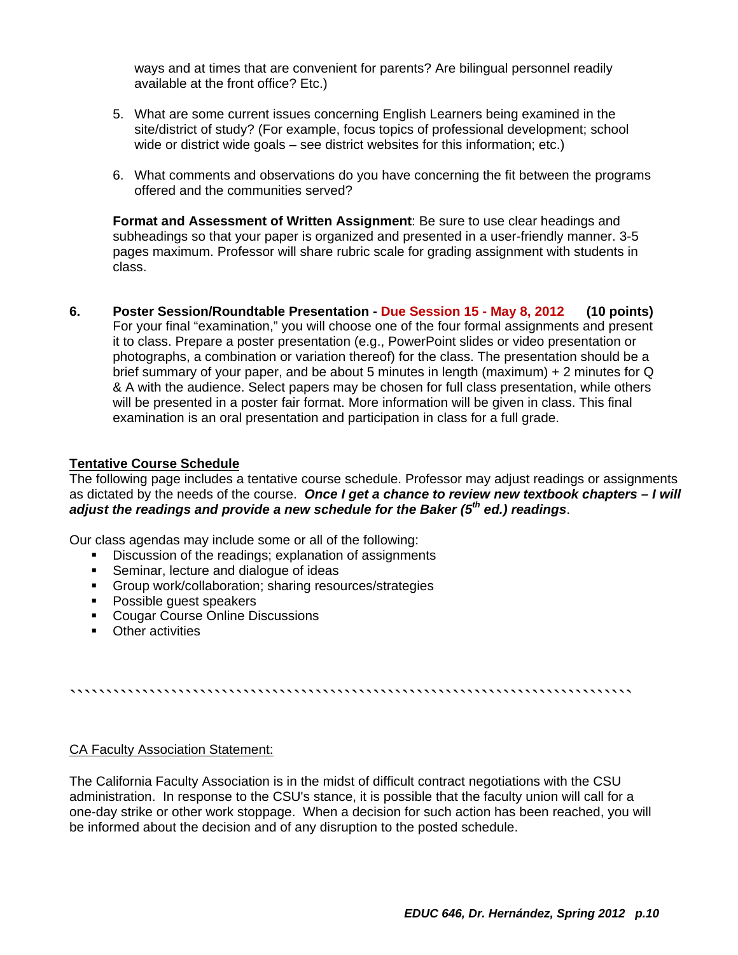ways and at times that are convenient for parents? Are bilingual personnel readily available at the front office? Etc.)

- 5. What are some current issues concerning English Learners being examined in the site/district of study? (For example, focus topics of professional development; school wide or district wide goals – see district websites for this information; etc.)
- 6. What comments and observations do you have concerning the fit between the programs offered and the communities served?

**Format and Assessment of Written Assignment**: Be sure to use clear headings and subheadings so that your paper is organized and presented in a user-friendly manner. 3-5 pages maximum. Professor will share rubric scale for grading assignment with students in class.

**6. Poster Session/Roundtable Presentation - Due Session 15 - May 8, 2012 (10 points)**  For your final "examination," you will choose one of the four formal assignments and present it to class. Prepare a poster presentation (e.g., PowerPoint slides or video presentation or photographs, a combination or variation thereof) for the class. The presentation should be a brief summary of your paper, and be about 5 minutes in length (maximum) + 2 minutes for Q & A with the audience. Select papers may be chosen for full class presentation, while others will be presented in a poster fair format. More information will be given in class. This final examination is an oral presentation and participation in class for a full grade.

#### **Tentative Course Schedule**

The following page includes a tentative course schedule. Professor may adjust readings or assignments as dictated by the needs of the course. *Once I get a chance to review new textbook chapters – I will adjust the readings and provide a new schedule for the Baker (5th ed.) readings*.

Our class agendas may include some or all of the following:

- Discussion of the readings; explanation of assignments
- **Seminar, lecture and dialogue of ideas**
- Group work/collaboration; sharing resources/strategies
- Possible quest speakers
- Cougar Course Online Discussions
- **•** Other activities

``````````````````````````````````````````````````````````````````````````````

#### CA Faculty Association Statement:

The California Faculty Association is in the midst of difficult contract negotiations with the CSU administration. In response to the CSU's stance, it is possible that the faculty union will call for a one-day strike or other work stoppage. When a decision for such action has been reached, you will be informed about the decision and of any disruption to the posted schedule.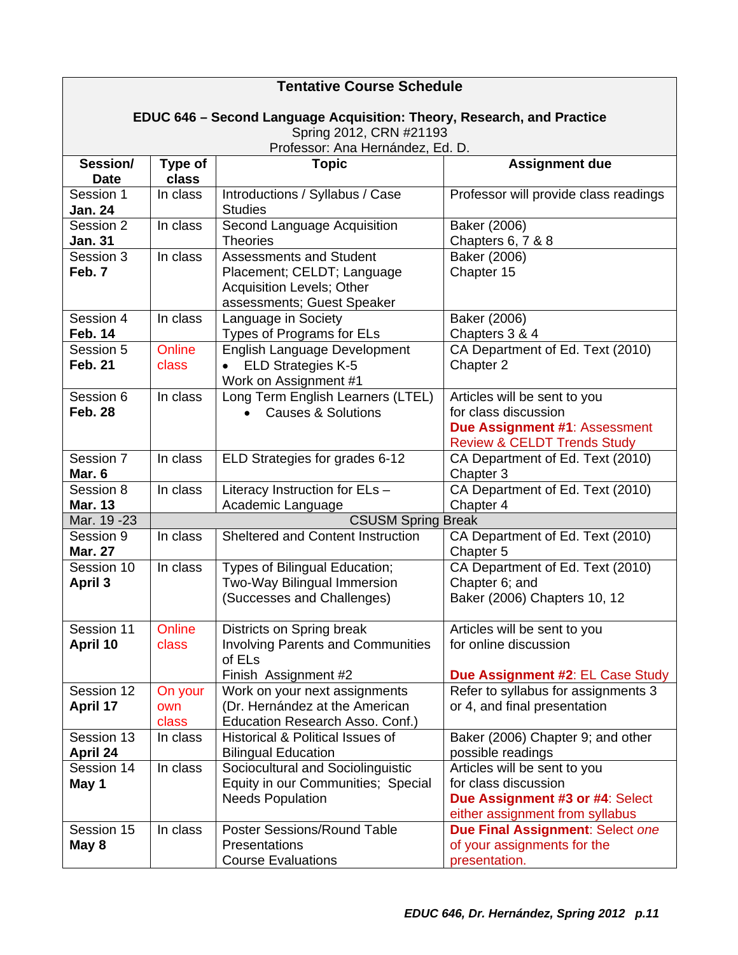| <b>Tentative Course Schedule</b>                                       |                           |                                                                                                                                |                                                                                                                                 |  |
|------------------------------------------------------------------------|---------------------------|--------------------------------------------------------------------------------------------------------------------------------|---------------------------------------------------------------------------------------------------------------------------------|--|
| EDUC 646 - Second Language Acquisition: Theory, Research, and Practice |                           |                                                                                                                                |                                                                                                                                 |  |
| Spring 2012, CRN #21193                                                |                           |                                                                                                                                |                                                                                                                                 |  |
| Session/                                                               | Type of                   | Professor: Ana Hernández, Ed. D.<br><b>Topic</b>                                                                               | <b>Assignment due</b>                                                                                                           |  |
| <b>Date</b>                                                            | class                     |                                                                                                                                |                                                                                                                                 |  |
| Session 1<br><b>Jan. 24</b>                                            | In class                  | Introductions / Syllabus / Case<br><b>Studies</b>                                                                              | Professor will provide class readings                                                                                           |  |
| Session 2<br><b>Jan. 31</b>                                            | In class                  | Second Language Acquisition<br><b>Theories</b>                                                                                 | Baker (2006)<br>Chapters 6, 7 & 8                                                                                               |  |
| Session 3<br>Feb. 7                                                    | In class                  | <b>Assessments and Student</b><br>Placement; CELDT; Language<br><b>Acquisition Levels; Other</b><br>assessments; Guest Speaker | Baker (2006)<br>Chapter 15                                                                                                      |  |
| Session 4<br><b>Feb. 14</b>                                            | In class                  | Language in Society<br>Types of Programs for ELs                                                                               | Baker (2006)<br>Chapters 3 & 4                                                                                                  |  |
| Session 5<br><b>Feb. 21</b>                                            | Online<br>class           | English Language Development<br><b>ELD Strategies K-5</b><br>Work on Assignment #1                                             | CA Department of Ed. Text (2010)<br>Chapter 2                                                                                   |  |
| Session 6<br><b>Feb. 28</b>                                            | In class                  | Long Term English Learners (LTEL)<br><b>Causes &amp; Solutions</b>                                                             | Articles will be sent to you<br>for class discussion<br>Due Assignment #1: Assessment<br><b>Review &amp; CELDT Trends Study</b> |  |
| Session 7<br>Mar. 6                                                    | In class                  | ELD Strategies for grades 6-12                                                                                                 | CA Department of Ed. Text (2010)<br>Chapter 3                                                                                   |  |
| Session 8<br><b>Mar. 13</b>                                            | In class                  | Literacy Instruction for ELs -<br>Academic Language                                                                            | CA Department of Ed. Text (2010)<br>Chapter 4                                                                                   |  |
| Mar. 19 - 23                                                           | <b>CSUSM Spring Break</b> |                                                                                                                                |                                                                                                                                 |  |
| Session 9<br><b>Mar. 27</b>                                            | In class                  | <b>Sheltered and Content Instruction</b>                                                                                       | CA Department of Ed. Text (2010)<br>Chapter 5                                                                                   |  |
| Session 10<br><b>April 3</b>                                           | In class                  | Types of Bilingual Education;<br>Two-Way Bilingual Immersion<br>(Successes and Challenges)                                     | CA Department of Ed. Text (2010)<br>Chapter 6; and<br>Baker (2006) Chapters 10, 12                                              |  |
| Session 11<br>April 10                                                 | Online<br>class           | Districts on Spring break<br><b>Involving Parents and Communities</b><br>of ELs<br>Finish Assignment #2                        | Articles will be sent to you<br>for online discussion<br>Due Assignment #2: EL Case Study                                       |  |
| Session 12<br>April 17                                                 | On your<br>own<br>class   | Work on your next assignments<br>(Dr. Hernández at the American<br>Education Research Asso. Conf.)                             | Refer to syllabus for assignments 3<br>or 4, and final presentation                                                             |  |
| Session 13<br>April 24                                                 | In class                  | Historical & Political Issues of<br><b>Bilingual Education</b>                                                                 | Baker (2006) Chapter 9; and other<br>possible readings                                                                          |  |
| Session 14<br>May 1                                                    | In class                  | Sociocultural and Sociolinguistic<br>Equity in our Communities; Special<br><b>Needs Population</b>                             | Articles will be sent to you<br>for class discussion<br>Due Assignment #3 or #4: Select<br>either assignment from syllabus      |  |
| Session 15<br>May 8                                                    | In class                  | Poster Sessions/Round Table<br>Presentations<br><b>Course Evaluations</b>                                                      | Due Final Assignment: Select one<br>of your assignments for the<br>presentation.                                                |  |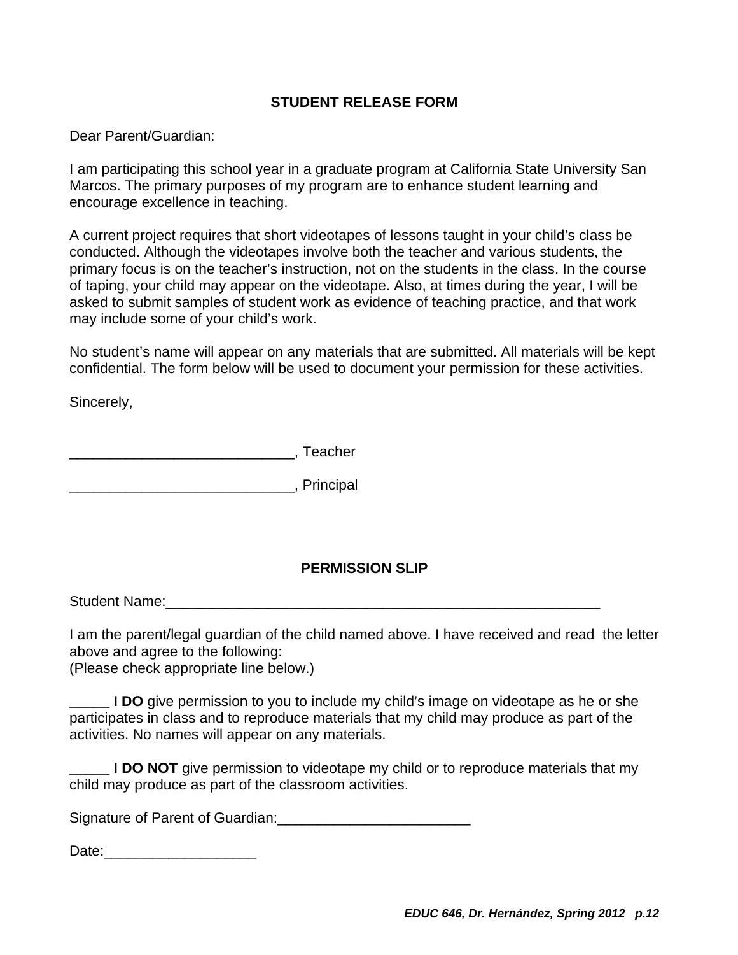# **STUDENT RELEASE FORM**

Dear Parent/Guardian:

encourage excellence in teaching. I am participating this school year in a graduate program at California State University San Marcos. The primary purposes of my program are to enhance student learning and

A current project requires that short videotapes of lessons taught in your child's class be conducted. Although the videotapes involve both the teacher and various students, the primary focus is on the teacher's instruction, not on the students in the class. In the course of taping, your child may appear on the videotape. Also, at times during the year, I will be asked to submit samples of student work as evidence of teaching practice, and that work may include some of your child's work.

No student's name will appear on any materials that are submitted. All materials will be kept confidential. The form below will be used to document your permission for these activities.

Sincerely,

\_\_\_\_\_\_\_\_\_\_\_\_\_\_\_\_\_\_\_\_\_\_\_\_\_\_\_\_, Teacher

\_\_\_\_\_\_\_\_\_\_\_\_\_\_\_\_\_\_\_\_\_\_\_\_\_\_\_\_, Principal

# **PERMISSION SLIP**

Student Name:\_\_\_\_\_\_\_\_\_\_\_\_\_\_\_\_\_\_\_\_\_\_\_\_\_\_\_\_\_\_\_\_\_\_\_\_\_\_\_\_\_\_\_\_\_\_\_\_\_\_\_\_\_\_

I am the parent/legal guardian of the child named above. I have received and read the letter above and agree to the following:

(Please check appropriate line below.)

**\_\_\_\_\_ I DO** give permission to you to include my child's image on videotape as he or she participates in class and to reproduce materials that my child may produce as part of the activities. No names will appear on any materials.

**\_\_\_\_\_ I DO NOT** give permission to videotape my child or to reproduce materials that my child may produce as part of the classroom activities.

Signature of Parent of Guardian:  $\Box$ 

Date: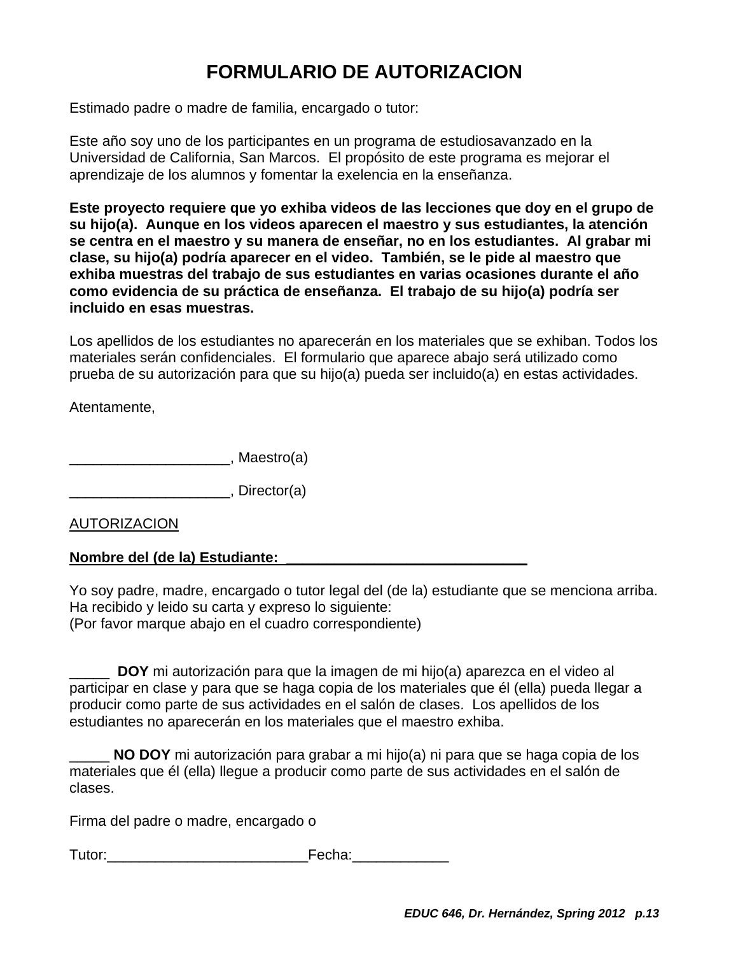# **FORMULARIO DE AUTORIZACION**

Estimado padre o madre de familia, encargado o tutor:

Este año soy uno de los participantes en un programa de estudiosavanzado en la Universidad de California, San Marcos. El propósito de este programa es mejorar el aprendizaje de los alumnos y fomentar la exelencia en la enseñanza.

**Este proyecto requiere que yo exhiba videos de las lecciones que doy en el grupo de su hijo(a). Aunque en los videos aparecen el maestro y sus estudiantes, la atención se centra en el maestro y su manera de enseñar, no en los estudiantes. Al grabar mi clase, su hijo(a) podría aparecer en el video. También, se le pide al maestro que exhiba muestras del trabajo de sus estudiantes en varias ocasiones durante el año como evidencia de su práctica de enseñanza. El trabajo de su hijo(a) podría ser incluido en esas muestras.** 

Los apellidos de los estudiantes no aparecerán en los materiales que se exhiban. Todos los materiales serán confidenciales. El formulario que aparece abajo será utilizado como prueba de su autorización para que su hijo(a) pueda ser incluido(a) en estas actividades.

Atentamente,

\_\_\_\_\_\_\_\_\_\_\_\_\_\_\_\_\_\_\_\_, Maestro(a)

\_\_\_\_\_\_\_\_\_\_\_\_\_\_\_\_\_\_\_\_, Director(a)

AUTORIZACION

# **Nombre del (de la) Estudiante: \_\_\_\_\_\_\_\_\_\_\_\_\_\_\_\_\_\_\_\_\_\_\_\_\_\_\_\_\_\_**

Yo soy padre, madre, encargado o tutor legal del (de la) estudiante que se menciona arriba. Ha recibido y leido su carta y expreso lo siguiente: (Por favor marque abajo en el cuadro correspondiente)

\_\_\_\_\_ **DOY** mi autorización para que la imagen de mi hijo(a) aparezca en el video al participar en clase y para que se haga copia de los materiales que él (ella) pueda llegar a producir como parte de sus actividades en el salón de clases. Los apellidos de los estudiantes no aparecerán en los materiales que el maestro exhiba.

\_\_\_\_\_ **NO DOY** mi autorización para grabar a mi hijo(a) ni para que se haga copia de los materiales que él (ella) llegue a producir como parte de sus actividades en el salón de clases.

Firma del padre o madre, encargado o

Tutor: etc. Tutor: etc. Tutor: etc. Tutor: etc. Tutor: etc. Tutor: etc. Tutor: etc. Tutor: etc. Tutor: etc. Tu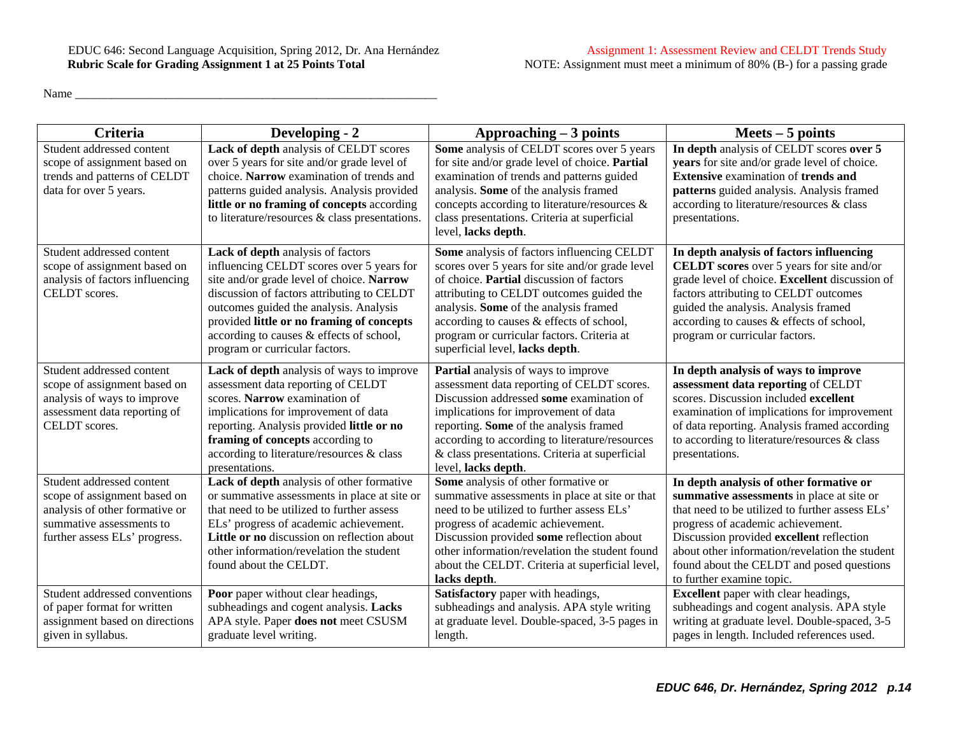Name \_\_\_\_\_\_\_\_\_\_\_\_\_\_\_\_\_\_\_\_\_\_\_\_\_\_\_\_\_\_\_\_\_\_\_\_\_\_\_\_\_\_\_\_\_\_\_\_\_\_\_\_\_\_\_\_\_\_\_\_

| <b>Criteria</b>                                                                                                                                          | Developing - 2                                                                                                                                                                                                                                                                                                                                 | $Approadening - 3 points$                                                                                                                                                                                                                                                                                                                                   | $Mets - 5 points$                                                                                                                                                                                                                                                                                                                                    |
|----------------------------------------------------------------------------------------------------------------------------------------------------------|------------------------------------------------------------------------------------------------------------------------------------------------------------------------------------------------------------------------------------------------------------------------------------------------------------------------------------------------|-------------------------------------------------------------------------------------------------------------------------------------------------------------------------------------------------------------------------------------------------------------------------------------------------------------------------------------------------------------|------------------------------------------------------------------------------------------------------------------------------------------------------------------------------------------------------------------------------------------------------------------------------------------------------------------------------------------------------|
| Student addressed content<br>scope of assignment based on<br>trends and patterns of CELDT<br>data for over 5 years.                                      | Lack of depth analysis of CELDT scores<br>over 5 years for site and/or grade level of<br>choice. Narrow examination of trends and<br>patterns guided analysis. Analysis provided<br>little or no framing of concepts according<br>to literature/resources & class presentations.                                                               | Some analysis of CELDT scores over 5 years<br>for site and/or grade level of choice. Partial<br>examination of trends and patterns guided<br>analysis. Some of the analysis framed<br>concepts according to literature/resources &<br>class presentations. Criteria at superficial<br>level, lacks depth.                                                   | In depth analysis of CELDT scores over 5<br>years for site and/or grade level of choice.<br><b>Extensive examination of trends and</b><br>patterns guided analysis. Analysis framed<br>according to literature/resources & class<br>presentations.                                                                                                   |
| Student addressed content<br>scope of assignment based on<br>analysis of factors influencing<br>CELDT scores.                                            | Lack of depth analysis of factors<br>influencing CELDT scores over 5 years for<br>site and/or grade level of choice. Narrow<br>discussion of factors attributing to CELDT<br>outcomes guided the analysis. Analysis<br>provided little or no framing of concepts<br>according to causes & effects of school,<br>program or curricular factors. | Some analysis of factors influencing CELDT<br>scores over 5 years for site and/or grade level<br>of choice. Partial discussion of factors<br>attributing to CELDT outcomes guided the<br>analysis. Some of the analysis framed<br>according to causes & effects of school,<br>program or curricular factors. Criteria at<br>superficial level, lacks depth. | In depth analysis of factors influencing<br><b>CELDT</b> scores over 5 years for site and/or<br>grade level of choice. Excellent discussion of<br>factors attributing to CELDT outcomes<br>guided the analysis. Analysis framed<br>according to causes & effects of school,<br>program or curricular factors.                                        |
| Student addressed content<br>scope of assignment based on<br>analysis of ways to improve<br>assessment data reporting of<br>CELDT scores.                | Lack of depth analysis of ways to improve<br>assessment data reporting of CELDT<br>scores. Narrow examination of<br>implications for improvement of data<br>reporting. Analysis provided little or no<br>framing of concepts according to<br>according to literature/resources & class<br>presentations.                                       | Partial analysis of ways to improve<br>assessment data reporting of CELDT scores.<br>Discussion addressed some examination of<br>implications for improvement of data<br>reporting. Some of the analysis framed<br>according to according to literature/resources<br>& class presentations. Criteria at superficial<br>level, lacks depth.                  | In depth analysis of ways to improve<br>assessment data reporting of CELDT<br>scores. Discussion included excellent<br>examination of implications for improvement<br>of data reporting. Analysis framed according<br>to according to literature/resources & class<br>presentations.                                                                 |
| Student addressed content<br>scope of assignment based on<br>analysis of other formative or<br>summative assessments to<br>further assess ELs' progress. | Lack of depth analysis of other formative<br>or summative assessments in place at site or<br>that need to be utilized to further assess<br>ELs' progress of academic achievement.<br>Little or no discussion on reflection about<br>other information/revelation the student<br>found about the CELDT.                                         | Some analysis of other formative or<br>summative assessments in place at site or that<br>need to be utilized to further assess ELs'<br>progress of academic achievement.<br>Discussion provided some reflection about<br>other information/revelation the student found<br>about the CELDT. Criteria at superficial level,<br>lacks depth.                  | In depth analysis of other formative or<br>summative assessments in place at site or<br>that need to be utilized to further assess ELs'<br>progress of academic achievement.<br>Discussion provided excellent reflection<br>about other information/revelation the student<br>found about the CELDT and posed questions<br>to further examine topic. |
| Student addressed conventions<br>of paper format for written<br>assignment based on directions<br>given in syllabus.                                     | Poor paper without clear headings,<br>subheadings and cogent analysis. Lacks<br>APA style. Paper does not meet CSUSM<br>graduate level writing.                                                                                                                                                                                                | Satisfactory paper with headings,<br>subheadings and analysis. APA style writing<br>at graduate level. Double-spaced, 3-5 pages in<br>length.                                                                                                                                                                                                               | <b>Excellent</b> paper with clear headings,<br>subheadings and cogent analysis. APA style<br>writing at graduate level. Double-spaced, 3-5<br>pages in length. Included references used.                                                                                                                                                             |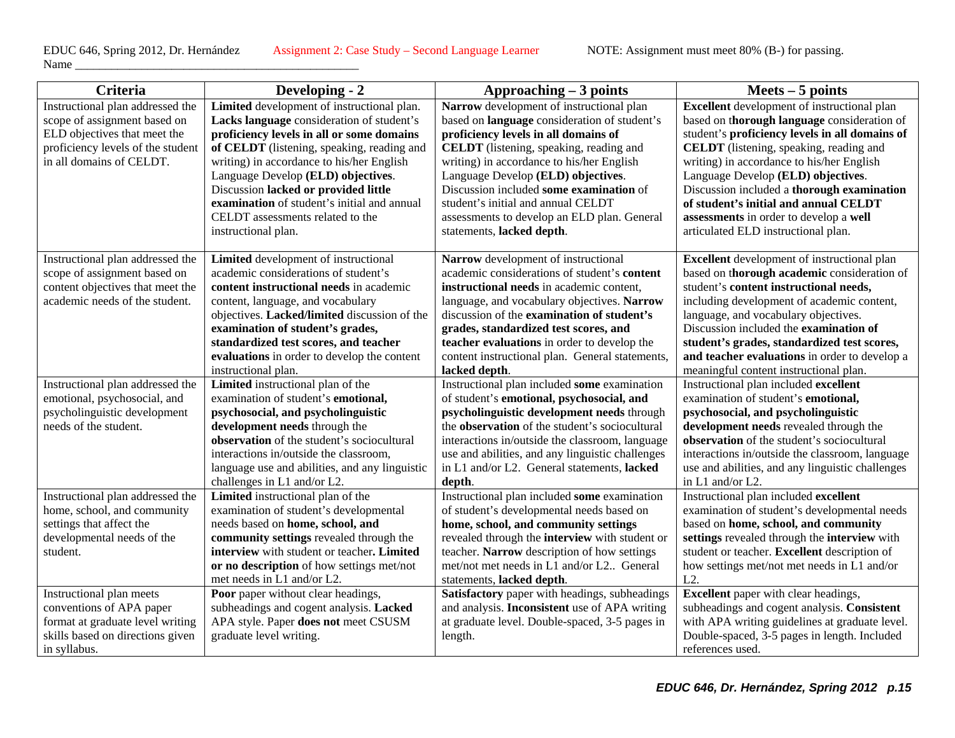Name  $\frac{1}{\sqrt{2}}$ 

| Criteria                          | Developing - 2                                 | Approaching $-3$ points                          | $Meets - 5 points$                                 |
|-----------------------------------|------------------------------------------------|--------------------------------------------------|----------------------------------------------------|
| Instructional plan addressed the  | Limited development of instructional plan.     | Narrow development of instructional plan         | <b>Excellent</b> development of instructional plan |
| scope of assignment based on      | Lacks language consideration of student's      | based on language consideration of student's     | based on thorough language consideration of        |
| ELD objectives that meet the      | proficiency levels in all or some domains      | proficiency levels in all domains of             | student's proficiency levels in all domains of     |
| proficiency levels of the student | of CELDT (listening, speaking, reading and     | <b>CELDT</b> (listening, speaking, reading and   | <b>CELDT</b> (listening, speaking, reading and     |
| in all domains of CELDT.          | writing) in accordance to his/her English      | writing) in accordance to his/her English        | writing) in accordance to his/her English          |
|                                   | Language Develop (ELD) objectives.             | Language Develop (ELD) objectives.               | Language Develop (ELD) objectives.                 |
|                                   | Discussion lacked or provided little           | Discussion included some examination of          | Discussion included a thorough examination         |
|                                   | examination of student's initial and annual    | student's initial and annual CELDT               | of student's initial and annual CELDT              |
|                                   | CELDT assessments related to the               | assessments to develop an ELD plan. General      | assessments in order to develop a well             |
|                                   | instructional plan.                            | statements, lacked depth.                        | articulated ELD instructional plan.                |
| Instructional plan addressed the  | Limited development of instructional           | Narrow development of instructional              | <b>Excellent</b> development of instructional plan |
| scope of assignment based on      | academic considerations of student's           | academic considerations of student's content     | based on thorough academic consideration of        |
| content objectives that meet the  | content instructional needs in academic        | instructional needs in academic content,         | student's content instructional needs,             |
| academic needs of the student.    | content, language, and vocabulary              | language, and vocabulary objectives. Narrow      | including development of academic content,         |
|                                   | objectives. Lacked/limited discussion of the   | discussion of the examination of student's       | language, and vocabulary objectives.               |
|                                   | examination of student's grades,               | grades, standardized test scores, and            | Discussion included the examination of             |
|                                   | standardized test scores, and teacher          | teacher evaluations in order to develop the      | student's grades, standardized test scores,        |
|                                   | evaluations in order to develop the content    | content instructional plan. General statements,  | and teacher evaluations in order to develop a      |
|                                   | instructional plan.                            | lacked depth.                                    | meaningful content instructional plan.             |
| Instructional plan addressed the  | Limited instructional plan of the              | Instructional plan included some examination     | Instructional plan included excellent              |
| emotional, psychosocial, and      | examination of student's emotional,            | of student's emotional, psychosocial, and        | examination of student's emotional,                |
| psycholinguistic development      | psychosocial, and psycholinguistic             | psycholinguistic development needs through       | psychosocial, and psycholinguistic                 |
| needs of the student.             | development needs through the                  | the observation of the student's sociocultural   | development needs revealed through the             |
|                                   | observation of the student's sociocultural     | interactions in/outside the classroom, language  | observation of the student's sociocultural         |
|                                   | interactions in/outside the classroom,         | use and abilities, and any linguistic challenges | interactions in/outside the classroom, language    |
|                                   | language use and abilities, and any linguistic | in L1 and/or L2. General statements, lacked      | use and abilities, and any linguistic challenges   |
|                                   | challenges in L1 and/or L2.                    | depth.                                           | in L1 and/or L2.                                   |
| Instructional plan addressed the  | Limited instructional plan of the              | Instructional plan included some examination     | Instructional plan included excellent              |
| home, school, and community       | examination of student's developmental         | of student's developmental needs based on        | examination of student's developmental needs       |
| settings that affect the          | needs based on home, school, and               | home, school, and community settings             | based on home, school, and community               |
| developmental needs of the        | community settings revealed through the        | revealed through the interview with student or   | settings revealed through the interview with       |
| student.                          | interview with student or teacher. Limited     | teacher. Narrow description of how settings      | student or teacher. Excellent description of       |
|                                   | or no description of how settings met/not      | met/not met needs in L1 and/or L2 General        | how settings met/not met needs in L1 and/or        |
|                                   | met needs in L1 and/or L2.                     | statements, lacked depth.                        | $L2$ .                                             |
| Instructional plan meets          | Poor paper without clear headings,             | Satisfactory paper with headings, subheadings    | <b>Excellent</b> paper with clear headings,        |
| conventions of APA paper          | subheadings and cogent analysis. Lacked        | and analysis. Inconsistent use of APA writing    | subheadings and cogent analysis. Consistent        |
| format at graduate level writing  | APA style. Paper does not meet CSUSM           | at graduate level. Double-spaced, 3-5 pages in   | with APA writing guidelines at graduate level.     |
| skills based on directions given  | graduate level writing.                        | length.                                          | Double-spaced, 3-5 pages in length. Included       |
| in syllabus.                      |                                                |                                                  | references used.                                   |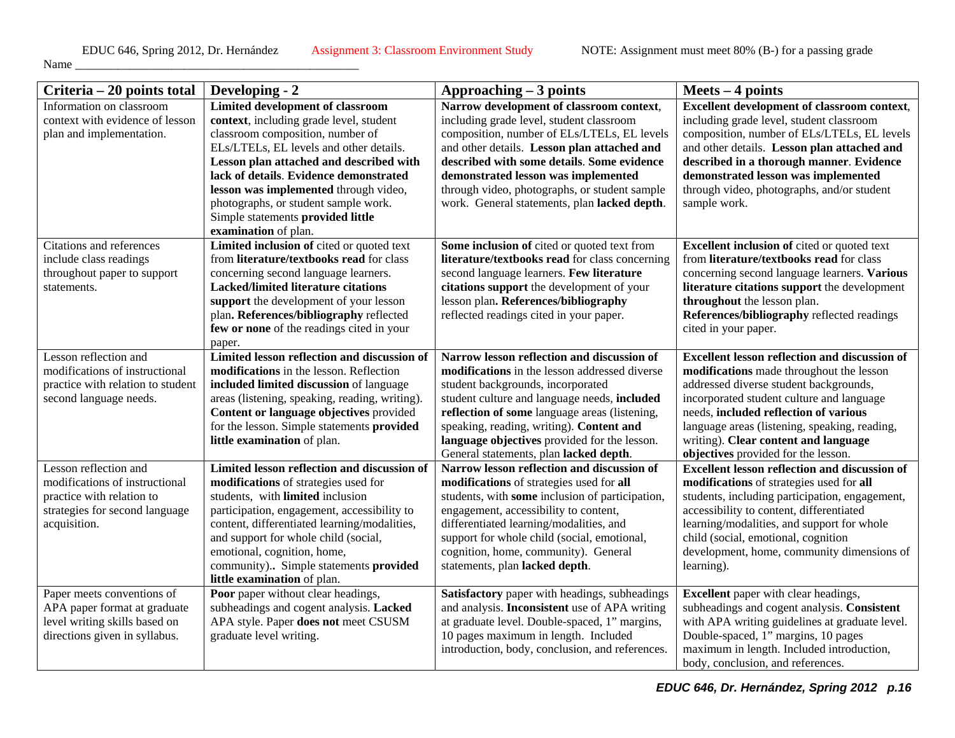| Criteria – 20 points total                                                                                                             | Developing - 2                                                                                                                                                                                                                                                                                                                                                                                | Approaching $-3$ points                                                                                                                                                                                                                                                                                                                                                  | $Mets - 4 points$                                                                                                                                                                                                                                                                                                                                                |
|----------------------------------------------------------------------------------------------------------------------------------------|-----------------------------------------------------------------------------------------------------------------------------------------------------------------------------------------------------------------------------------------------------------------------------------------------------------------------------------------------------------------------------------------------|--------------------------------------------------------------------------------------------------------------------------------------------------------------------------------------------------------------------------------------------------------------------------------------------------------------------------------------------------------------------------|------------------------------------------------------------------------------------------------------------------------------------------------------------------------------------------------------------------------------------------------------------------------------------------------------------------------------------------------------------------|
| Information on classroom<br>context with evidence of lesson<br>plan and implementation.                                                | Limited development of classroom<br>context, including grade level, student<br>classroom composition, number of<br>ELs/LTELs, EL levels and other details.<br>Lesson plan attached and described with<br>lack of details. Evidence demonstrated<br>lesson was implemented through video,<br>photographs, or student sample work.<br>Simple statements provided little<br>examination of plan. | Narrow development of classroom context,<br>including grade level, student classroom<br>composition, number of ELs/LTELs, EL levels<br>and other details. Lesson plan attached and<br>described with some details. Some evidence<br>demonstrated lesson was implemented<br>through video, photographs, or student sample<br>work. General statements, plan lacked depth. | <b>Excellent development of classroom context,</b><br>including grade level, student classroom<br>composition, number of ELs/LTELs, EL levels<br>and other details. Lesson plan attached and<br>described in a thorough manner. Evidence<br>demonstrated lesson was implemented<br>through video, photographs, and/or student<br>sample work.                    |
| Citations and references<br>include class readings<br>throughout paper to support<br>statements.                                       | Limited inclusion of cited or quoted text<br>from literature/textbooks read for class<br>concerning second language learners.<br><b>Lacked/limited literature citations</b><br>support the development of your lesson<br>plan. References/bibliography reflected<br>few or none of the readings cited in your<br>paper.                                                                       | Some inclusion of cited or quoted text from<br>literature/textbooks read for class concerning<br>second language learners. Few literature<br>citations support the development of your<br>lesson plan. References/bibliography<br>reflected readings cited in your paper.                                                                                                | <b>Excellent inclusion of cited or quoted text</b><br>from literature/textbooks read for class<br>concerning second language learners. Various<br>literature citations support the development<br>throughout the lesson plan.<br>References/bibliography reflected readings<br>cited in your paper.                                                              |
| Lesson reflection and<br>modifications of instructional<br>practice with relation to student<br>second language needs.                 | Limited lesson reflection and discussion of<br>modifications in the lesson. Reflection<br>included limited discussion of language<br>areas (listening, speaking, reading, writing).<br>Content or language objectives provided<br>for the lesson. Simple statements provided<br>little examination of plan.                                                                                   | Narrow lesson reflection and discussion of<br>modifications in the lesson addressed diverse<br>student backgrounds, incorporated<br>student culture and language needs, included<br>reflection of some language areas (listening,<br>speaking, reading, writing). Content and<br>language objectives provided for the lesson.<br>General statements, plan lacked depth.  | <b>Excellent lesson reflection and discussion of</b><br>modifications made throughout the lesson<br>addressed diverse student backgrounds,<br>incorporated student culture and language<br>needs, included reflection of various<br>language areas (listening, speaking, reading,<br>writing). Clear content and language<br>objectives provided for the lesson. |
| Lesson reflection and<br>modifications of instructional<br>practice with relation to<br>strategies for second language<br>acquisition. | Limited lesson reflection and discussion of<br>modifications of strategies used for<br>students, with limited inclusion<br>participation, engagement, accessibility to<br>content, differentiated learning/modalities,<br>and support for whole child (social,<br>emotional, cognition, home,<br>community) Simple statements provided<br>little examination of plan.                         | Narrow lesson reflection and discussion of<br>modifications of strategies used for all<br>students, with some inclusion of participation,<br>engagement, accessibility to content,<br>differentiated learning/modalities, and<br>support for whole child (social, emotional,<br>cognition, home, community). General<br>statements, plan lacked depth.                   | <b>Excellent lesson reflection and discussion of</b><br>modifications of strategies used for all<br>students, including participation, engagement,<br>accessibility to content, differentiated<br>learning/modalities, and support for whole<br>child (social, emotional, cognition<br>development, home, community dimensions of<br>learning).                  |
| Paper meets conventions of<br>APA paper format at graduate<br>level writing skills based on<br>directions given in syllabus.           | Poor paper without clear headings,<br>subheadings and cogent analysis. Lacked<br>APA style. Paper does not meet CSUSM<br>graduate level writing.                                                                                                                                                                                                                                              | Satisfactory paper with headings, subheadings<br>and analysis. Inconsistent use of APA writing<br>at graduate level. Double-spaced, 1" margins,<br>10 pages maximum in length. Included<br>introduction, body, conclusion, and references.                                                                                                                               | Excellent paper with clear headings,<br>subheadings and cogent analysis. Consistent<br>with APA writing guidelines at graduate level.<br>Double-spaced, 1" margins, 10 pages<br>maximum in length. Included introduction,<br>body, conclusion, and references.                                                                                                   |